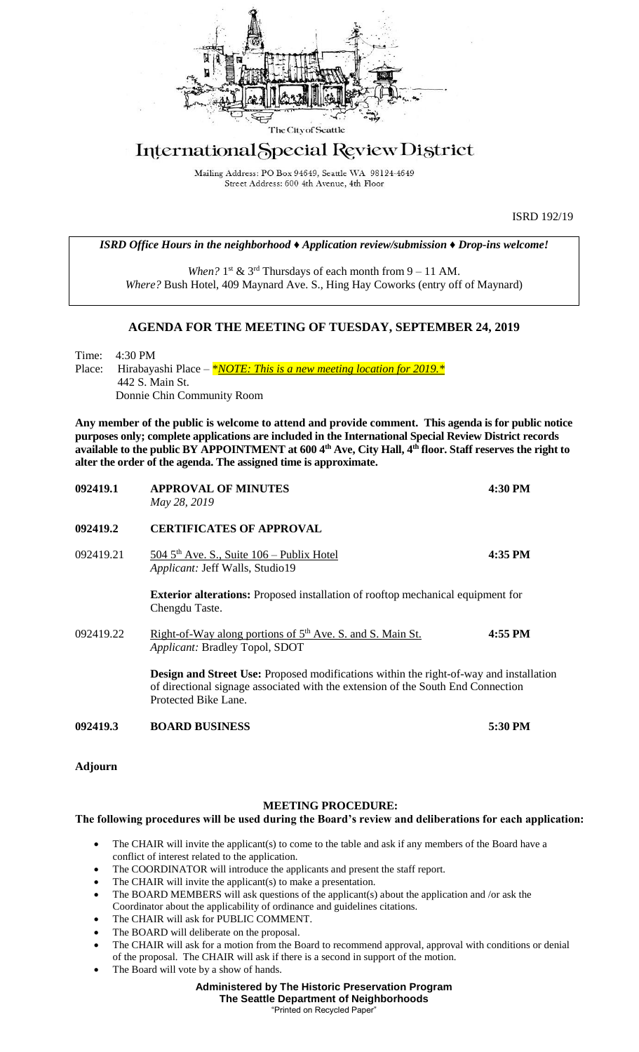

# International Special Review District

Mailing Address: PO Box 94649, Seattle WA 98124-4649 Street Address: 600 4th Avenue, 4th Floor

ISRD 192/19

*ISRD Office Hours in the neighborhood ♦ Application review/submission ♦ Drop-ins welcome!*

When?  $1<sup>st</sup>$  &  $3<sup>rd</sup>$  Thursdays of each month from  $9 - 11$  AM. *Where?* Bush Hotel, 409 Maynard Ave. S., Hing Hay Coworks (entry off of Maynard)

### **AGENDA FOR THE MEETING OF TUESDAY, SEPTEMBER 24, 2019**

Time: 4:30 PM Place: Hirabayashi Place – *\*<u>NOTE:</u> This is a new meeting location for 2019. \** 442 S. Main St. Donnie Chin Community Room

**Any member of the public is welcome to attend and provide comment. This agenda is for public notice purposes only; complete applications are included in the International Special Review District records available to the public BY APPOINTMENT at 600 4th Ave, City Hall, 4th floor. Staff reserves the right to alter the order of the agenda. The assigned time is approximate.** 

| 092419.1  | <b>APPROVAL OF MINUTES</b><br>May 28, 2019                                                                                                                                                                | 4:30 PM |
|-----------|-----------------------------------------------------------------------------------------------------------------------------------------------------------------------------------------------------------|---------|
| 092419.2  | <b>CERTIFICATES OF APPROVAL</b>                                                                                                                                                                           |         |
| 092419.21 | 504 $5th$ Ave. S., Suite 106 – Publix Hotel<br>Applicant: Jeff Walls, Studio19                                                                                                                            | 4:35 PM |
|           | <b>Exterior alterations:</b> Proposed installation of rooftop mechanical equipment for<br>Chengdu Taste.                                                                                                  |         |
| 092419.22 | Right-of-Way along portions of $5th$ Ave. S. and S. Main St.<br><i>Applicant:</i> Bradley Topol, SDOT                                                                                                     | 4:55 PM |
|           | <b>Design and Street Use:</b> Proposed modifications within the right-of-way and installation<br>of directional signage associated with the extension of the South End Connection<br>Protected Bike Lane. |         |
| 092419.3  | <b>BOARD BUSINESS</b>                                                                                                                                                                                     | 5:30 PM |

**Adjourn**

#### **MEETING PROCEDURE:**

#### **The following procedures will be used during the Board's review and deliberations for each application:**

- The CHAIR will invite the applicant(s) to come to the table and ask if any members of the Board have a conflict of interest related to the application.
- The COORDINATOR will introduce the applicants and present the staff report.
- The CHAIR will invite the applicant(s) to make a presentation.
- The BOARD MEMBERS will ask questions of the applicant(s) about the application and /or ask the Coordinator about the applicability of ordinance and guidelines citations.
- The CHAIR will ask for PUBLIC COMMENT.
- The BOARD will deliberate on the proposal.
- The CHAIR will ask for a motion from the Board to recommend approval, approval with conditions or denial of the proposal. The CHAIR will ask if there is a second in support of the motion.
- The Board will vote by a show of hands.

## **Administered by The Historic Preservation Program**

**The Seattle Department of Neighborhoods** "Printed on Recycled Paper"